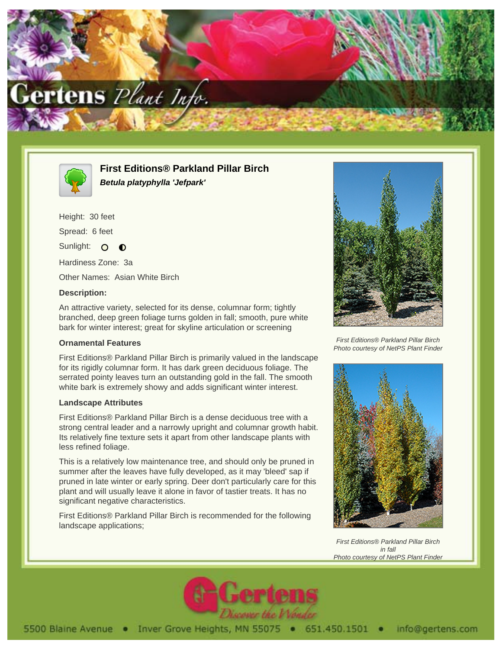



**First Editions® Parkland Pillar Birch Betula platyphylla 'Jefpark'**

Height: 30 feet Spread: 6 feet Sunlight: O  $\bullet$ Hardiness Zone: 3a

Other Names: Asian White Birch

### **Description:**

An attractive variety, selected for its dense, columnar form; tightly branched, deep green foliage turns golden in fall; smooth, pure white bark for winter interest; great for skyline articulation or screening

### **Ornamental Features**

First Editions® Parkland Pillar Birch is primarily valued in the landscape for its rigidly columnar form. It has dark green deciduous foliage. The serrated pointy leaves turn an outstanding gold in the fall. The smooth white bark is extremely showy and adds significant winter interest.

#### **Landscape Attributes**

First Editions® Parkland Pillar Birch is a dense deciduous tree with a strong central leader and a narrowly upright and columnar growth habit. Its relatively fine texture sets it apart from other landscape plants with less refined foliage.

This is a relatively low maintenance tree, and should only be pruned in summer after the leaves have fully developed, as it may 'bleed' sap if pruned in late winter or early spring. Deer don't particularly care for this plant and will usually leave it alone in favor of tastier treats. It has no significant negative characteristics.

First Editions® Parkland Pillar Birch is recommended for the following landscape applications;



First Editions® Parkland Pillar Birch Photo courtesy of NetPS Plant Finder



First Editions® Parkland Pillar Birch in fall **Photo courtesy of NetPS Plant Finder**